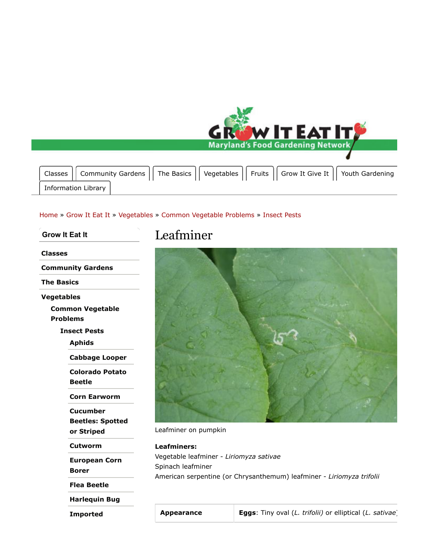

## Home » Grow It Eat It » Vegetables » Common Vegetable Problems » Insect Pests

**Grow It Eat It Classes Community Gardens The Basics Vegetables Common Vegetable Problems Insect Pests Aphids Cabbage Looper Colorado Potato Beetle Corn Earworm Cucumber Beetles: Spotted or Striped Cutworm European Corn Borer Flea Beetle Harlequin Bug**

**Imported**

## Leafminer



Leafminer on pumpkin

**Leafminers:** Vegetable leafminer - *Liriomyza sativae* Spinach leafminer American serpentine (or Chrysanthemum) leafminer - *Liriomyza trifolii*

**Appearance Eggs**: Tiny oval (*L. trifolii)* or elliptical (*L. sativae*)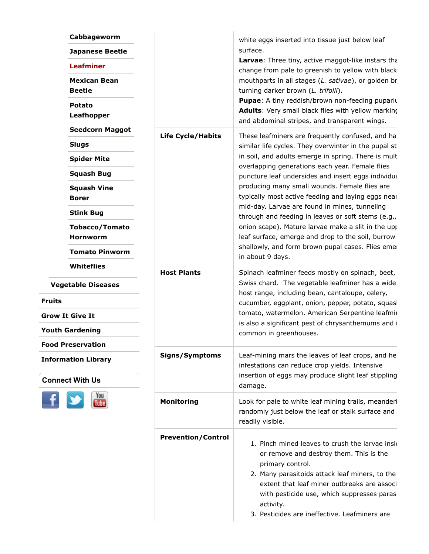| Cabbageworm<br><b>Japanese Beetle</b>                |                           | white eggs inserted into tissue just below leaf<br>surface.                                                                                                                                                                                                                                                                                                                                                                                                                                                                                                                                                                                                                                                                                                                                                                                                                                                                                                              |
|------------------------------------------------------|---------------------------|--------------------------------------------------------------------------------------------------------------------------------------------------------------------------------------------------------------------------------------------------------------------------------------------------------------------------------------------------------------------------------------------------------------------------------------------------------------------------------------------------------------------------------------------------------------------------------------------------------------------------------------------------------------------------------------------------------------------------------------------------------------------------------------------------------------------------------------------------------------------------------------------------------------------------------------------------------------------------|
| <b>Leafminer</b>                                     |                           | Larvae: Three tiny, active maggot-like instars that<br>change from pale to greenish to yellow with black<br>mouthparts in all stages (L. sativae), or golden br<br>turning darker brown (L. trifolii).<br>Pupae: A tiny reddish/brown non-feeding puparit<br>Adults: Very small black flies with yellow marking<br>and abdominal stripes, and transparent wings.                                                                                                                                                                                                                                                                                                                                                                                                                                                                                                                                                                                                         |
| <b>Mexican Bean</b><br><b>Beetle</b>                 |                           |                                                                                                                                                                                                                                                                                                                                                                                                                                                                                                                                                                                                                                                                                                                                                                                                                                                                                                                                                                          |
| <b>Potato</b><br><b>Leafhopper</b>                   |                           |                                                                                                                                                                                                                                                                                                                                                                                                                                                                                                                                                                                                                                                                                                                                                                                                                                                                                                                                                                          |
| <b>Seedcorn Maggot</b>                               | <b>Life Cycle/Habits</b>  | These leafminers are frequently confused, and ha                                                                                                                                                                                                                                                                                                                                                                                                                                                                                                                                                                                                                                                                                                                                                                                                                                                                                                                         |
| <b>Slugs</b>                                         |                           | similar life cycles. They overwinter in the pupal st<br>in soil, and adults emerge in spring. There is mult<br>overlapping generations each year. Female flies<br>puncture leaf undersides and insert eggs individua<br>producing many small wounds. Female flies are<br>typically most active feeding and laying eggs near<br>mid-day. Larvae are found in mines, tunneling<br>through and feeding in leaves or soft stems (e.g.,<br>onion scape). Mature larvae make a slit in the upp<br>leaf surface, emerge and drop to the soil, burrow<br>shallowly, and form brown pupal cases. Flies emer<br>in about 9 days.<br>Spinach leafminer feeds mostly on spinach, beet,<br>Swiss chard. The vegetable leafminer has a wide<br>host range, including bean, cantaloupe, celery,<br>cucumber, eggplant, onion, pepper, potato, squasl<br>tomato, watermelon. American Serpentine leafmir<br>is also a significant pest of chrysanthemums and i<br>common in greenhouses. |
| <b>Spider Mite</b>                                   |                           |                                                                                                                                                                                                                                                                                                                                                                                                                                                                                                                                                                                                                                                                                                                                                                                                                                                                                                                                                                          |
| <b>Squash Bug</b>                                    |                           |                                                                                                                                                                                                                                                                                                                                                                                                                                                                                                                                                                                                                                                                                                                                                                                                                                                                                                                                                                          |
| <b>Squash Vine</b><br><b>Borer</b>                   |                           |                                                                                                                                                                                                                                                                                                                                                                                                                                                                                                                                                                                                                                                                                                                                                                                                                                                                                                                                                                          |
| <b>Stink Bug</b>                                     |                           |                                                                                                                                                                                                                                                                                                                                                                                                                                                                                                                                                                                                                                                                                                                                                                                                                                                                                                                                                                          |
| <b>Tobacco/Tomato</b><br><b>Hornworm</b>             |                           |                                                                                                                                                                                                                                                                                                                                                                                                                                                                                                                                                                                                                                                                                                                                                                                                                                                                                                                                                                          |
| <b>Tomato Pinworm</b>                                |                           |                                                                                                                                                                                                                                                                                                                                                                                                                                                                                                                                                                                                                                                                                                                                                                                                                                                                                                                                                                          |
| <b>Whiteflies</b>                                    | <b>Host Plants</b>        |                                                                                                                                                                                                                                                                                                                                                                                                                                                                                                                                                                                                                                                                                                                                                                                                                                                                                                                                                                          |
| <b>Vegetable Diseases</b>                            |                           |                                                                                                                                                                                                                                                                                                                                                                                                                                                                                                                                                                                                                                                                                                                                                                                                                                                                                                                                                                          |
| <b>Fruits</b>                                        |                           |                                                                                                                                                                                                                                                                                                                                                                                                                                                                                                                                                                                                                                                                                                                                                                                                                                                                                                                                                                          |
| <b>Grow It Give It</b><br><b>Youth Gardening</b>     |                           |                                                                                                                                                                                                                                                                                                                                                                                                                                                                                                                                                                                                                                                                                                                                                                                                                                                                                                                                                                          |
|                                                      |                           |                                                                                                                                                                                                                                                                                                                                                                                                                                                                                                                                                                                                                                                                                                                                                                                                                                                                                                                                                                          |
| <b>Information Library</b><br><b>Connect With Us</b> |                           |                                                                                                                                                                                                                                                                                                                                                                                                                                                                                                                                                                                                                                                                                                                                                                                                                                                                                                                                                                          |
| You                                                  | <b>Monitoring</b>         | Look for pale to white leaf mining trails, meanderi<br>randomly just below the leaf or stalk surface and<br>readily visible.                                                                                                                                                                                                                                                                                                                                                                                                                                                                                                                                                                                                                                                                                                                                                                                                                                             |
|                                                      | <b>Prevention/Control</b> | 1. Pinch mined leaves to crush the larvae insided.<br>or remove and destroy them. This is the<br>primary control.<br>2. Many parasitoids attack leaf miners, to the<br>extent that leaf miner outbreaks are associ<br>with pesticide use, which suppresses parasi<br>activity.<br>3. Pesticides are ineffective. Leafminers are                                                                                                                                                                                                                                                                                                                                                                                                                                                                                                                                                                                                                                          |